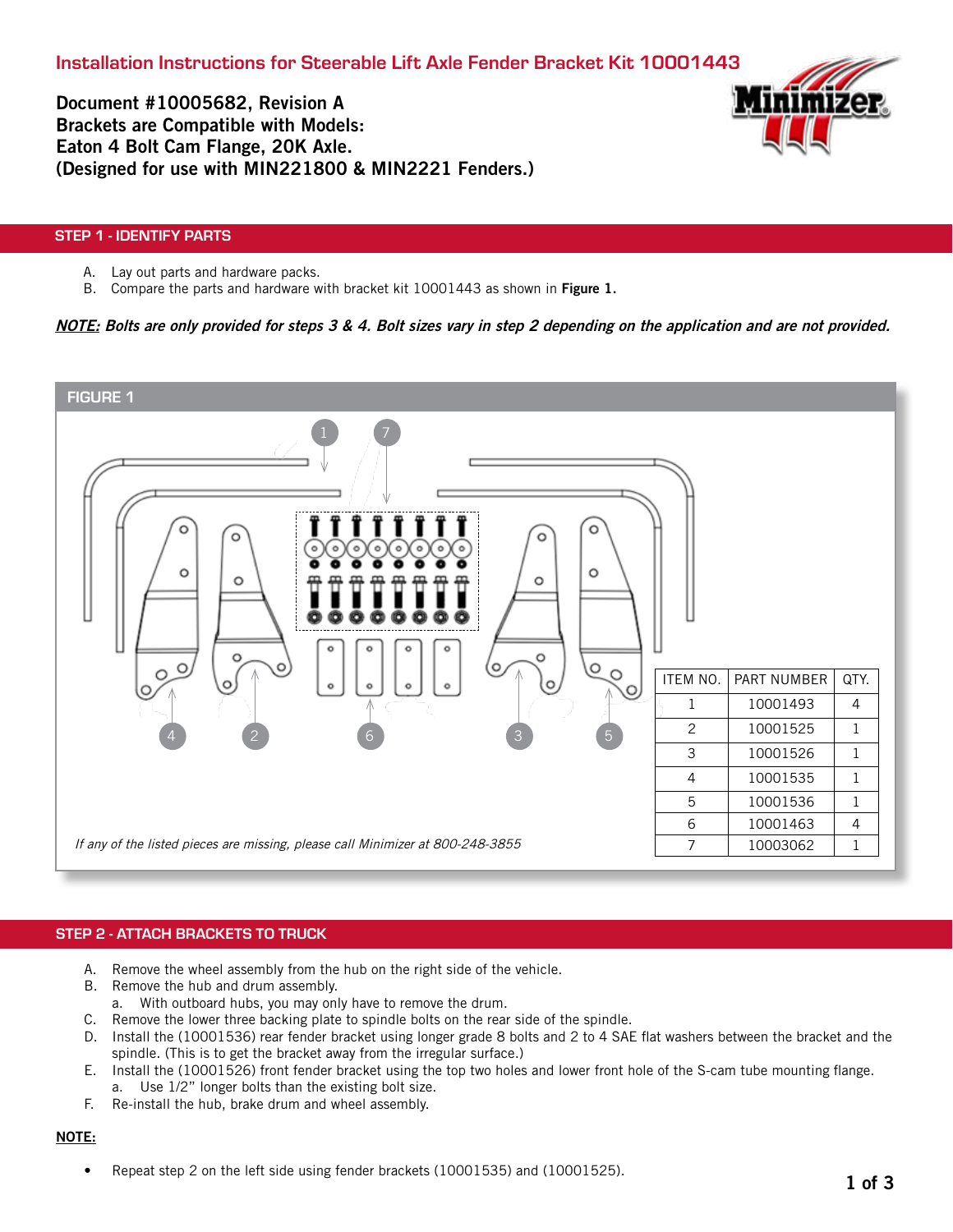Document #10005682, Revision A Brackets are Compatible with Models: Eaton 4 Bolt Cam Flange, 20K Axle. (Designed for use with MIN221800 & MIN2221 Fenders.)



# STEP 1 - IDENTIFY PARTS

- A. Lay out parts and hardware packs.
- B. Compare the parts and hardware with bracket kit 10001443 as shown in Figure 1.

# NOTE: Bolts are only provided for steps 3 & 4. Bolt sizes vary in step 2 depending on the application and are not provided.



### STEP 2 - ATTACH BRACKETS TO TRUCK

- A. Remove the wheel assembly from the hub on the right side of the vehicle.
- B. Remove the hub and drum assembly.
- a. With outboard hubs, you may only have to remove the drum.
- C. Remove the lower three backing plate to spindle bolts on the rear side of the spindle.
- D. Install the (10001536) rear fender bracket using longer grade 8 bolts and 2 to 4 SAE flat washers between the bracket and the spindle. (This is to get the bracket away from the irregular surface.)
- E. Install the (10001526) front fender bracket using the top two holes and lower front hole of the S-cam tube mounting flange. a. Use 1/2" longer bolts than the existing bolt size.
- F. Re-install the hub, brake drum and wheel assembly.

### NOTE:

• Repeat step 2 on the left side using fender brackets (10001535) and (10001525).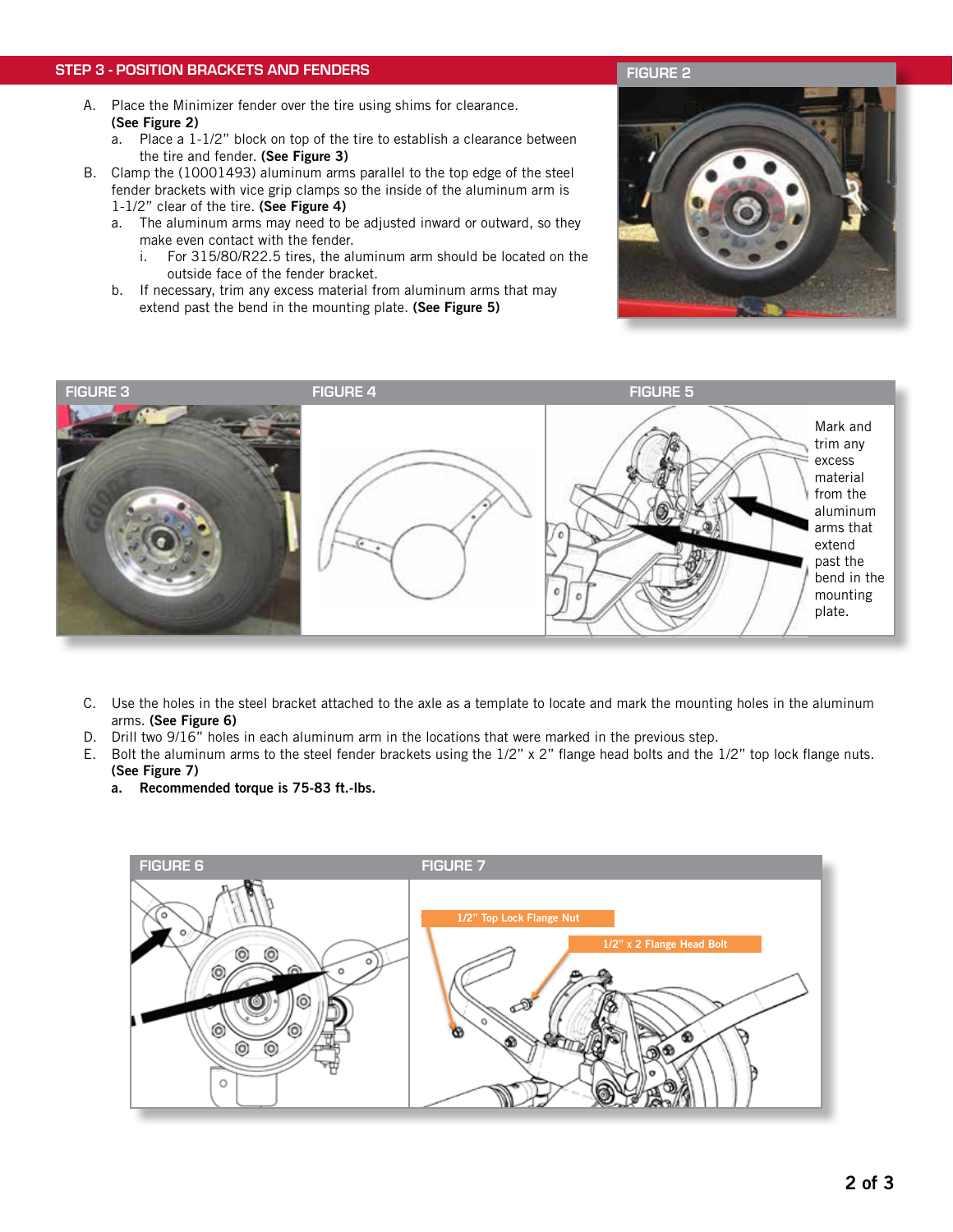### STEP 3 - POSITION BRACKETS AND FENDERS

- A. Place the Minimizer fender over the tire using shims for clearance. (See Figure 2)
	- a. Place a 1-1/2" block on top of the tire to establish a clearance between the tire and fender. (See Figure 3)
- B. Clamp the (10001493) aluminum arms parallel to the top edge of the steel fender brackets with vice grip clamps so the inside of the aluminum arm is 1-1/2" clear of the tire. (See Figure 4)
	- a. The aluminum arms may need to be adjusted inward or outward, so they make even contact with the fender.
		- i. For 315/80/R22.5 tires, the aluminum arm should be located on the outside face of the fender bracket.
	- b. If necessary, trim any excess material from aluminum arms that may extend past the bend in the mounting plate. (See Figure 5)





- C. Use the holes in the steel bracket attached to the axle as a template to locate and mark the mounting holes in the aluminum arms. (See Figure 6)
- D. Drill two 9/16" holes in each aluminum arm in the locations that were marked in the previous step.
- E. Bolt the aluminum arms to the steel fender brackets using the 1/2" x 2" flange head bolts and the 1/2" top lock flange nuts.
	- (See Figure 7)
	- a. Recommended torque is 75-83 ft.-lbs.